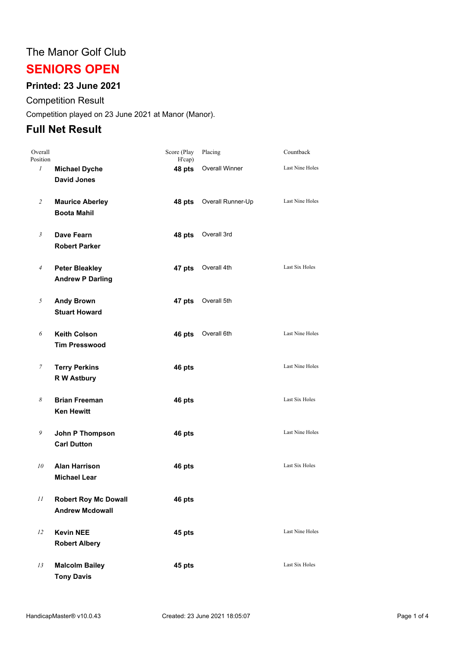## The Manor Golf Club

# **SENIORS OPEN**

## **Printed: 23 June 2021**

#### Competition Result

Competition played on 23 June 2021 at Manor (Manor).

## **Full Net Result**

| Overall<br>Position |                                                       | Score (Play<br>H'cap) | Placing               | Countback              |
|---------------------|-------------------------------------------------------|-----------------------|-----------------------|------------------------|
| $\mathcal{I}$       | <b>Michael Dyche</b><br><b>David Jones</b>            | 48 pts                | <b>Overall Winner</b> | Last Nine Holes        |
| 2                   | <b>Maurice Aberley</b><br><b>Boota Mahil</b>          | 48 pts                | Overall Runner-Up     | Last Nine Holes        |
| $\mathfrak{Z}$      | Dave Fearn<br><b>Robert Parker</b>                    | 48 pts                | Overall 3rd           |                        |
| $\overline{4}$      | <b>Peter Bleakley</b><br><b>Andrew P Darling</b>      | 47 pts                | Overall 4th           | Last Six Holes         |
| 5                   | <b>Andy Brown</b><br><b>Stuart Howard</b>             | 47 pts                | Overall 5th           |                        |
| 6                   | <b>Keith Colson</b><br><b>Tim Presswood</b>           | 46 pts                | Overall 6th           | Last Nine Holes        |
| $\boldsymbol{7}$    | <b>Terry Perkins</b><br><b>R W Astbury</b>            | 46 pts                |                       | <b>Last Nine Holes</b> |
| 8                   | <b>Brian Freeman</b><br><b>Ken Hewitt</b>             | 46 pts                |                       | Last Six Holes         |
| 9                   | John P Thompson<br><b>Carl Dutton</b>                 | 46 pts                |                       | Last Nine Holes        |
| 10                  | <b>Alan Harrison</b><br><b>Michael Lear</b>           | 46 pts                |                       | Last Six Holes         |
| 11                  | <b>Robert Roy Mc Dowall</b><br><b>Andrew Mcdowall</b> | 46 pts                |                       |                        |
| 12                  | <b>Kevin NEE</b><br><b>Robert Albery</b>              | 45 pts                |                       | Last Nine Holes        |
| 13                  | <b>Malcolm Bailey</b><br><b>Tony Davis</b>            | 45 pts                |                       | Last Six Holes         |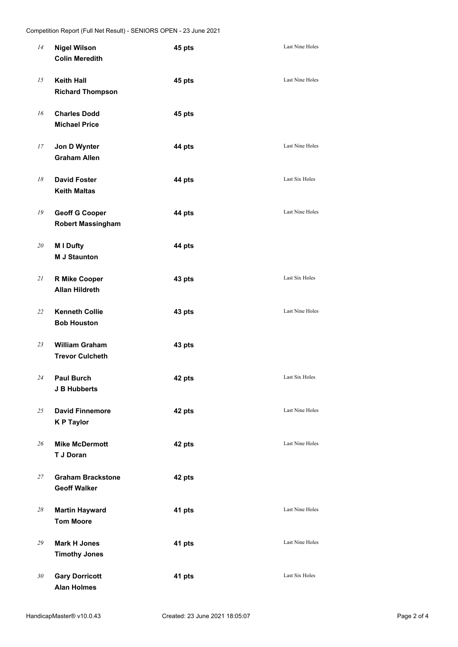| 14 | <b>Nigel Wilson</b><br><b>Colin Meredith</b>      | 45 pts | Last Nine Holes        |
|----|---------------------------------------------------|--------|------------------------|
| 15 | <b>Keith Hall</b><br><b>Richard Thompson</b>      | 45 pts | Last Nine Holes        |
| 16 | <b>Charles Dodd</b><br><b>Michael Price</b>       | 45 pts |                        |
| 17 | Jon D Wynter<br><b>Graham Allen</b>               | 44 pts | <b>Last Nine Holes</b> |
| 18 | <b>David Foster</b><br><b>Keith Maltas</b>        | 44 pts | Last Six Holes         |
| 19 | <b>Geoff G Cooper</b><br><b>Robert Massingham</b> | 44 pts | <b>Last Nine Holes</b> |
| 20 | M I Dufty<br><b>M J Staunton</b>                  | 44 pts |                        |
| 21 | <b>R Mike Cooper</b><br><b>Allan Hildreth</b>     | 43 pts | Last Six Holes         |
| 22 | <b>Kenneth Collie</b><br><b>Bob Houston</b>       | 43 pts | Last Nine Holes        |
| 23 | <b>William Graham</b><br><b>Trevor Culcheth</b>   | 43 pts |                        |
| 24 | <b>Paul Burch</b><br><b>J B Hubberts</b>          | 42 pts | Last Six Holes         |
| 25 | <b>David Finnemore</b><br><b>KP Taylor</b>        | 42 pts | Last Nine Holes        |
| 26 | <b>Mike McDermott</b><br>T J Doran                | 42 pts | Last Nine Holes        |
| 27 | <b>Graham Brackstone</b><br><b>Geoff Walker</b>   | 42 pts |                        |
| 28 | <b>Martin Hayward</b><br><b>Tom Moore</b>         | 41 pts | Last Nine Holes        |
| 29 | <b>Mark H Jones</b><br><b>Timothy Jones</b>       | 41 pts | Last Nine Holes        |
| 30 | <b>Gary Dorricott</b><br><b>Alan Holmes</b>       | 41 pts | Last Six Holes         |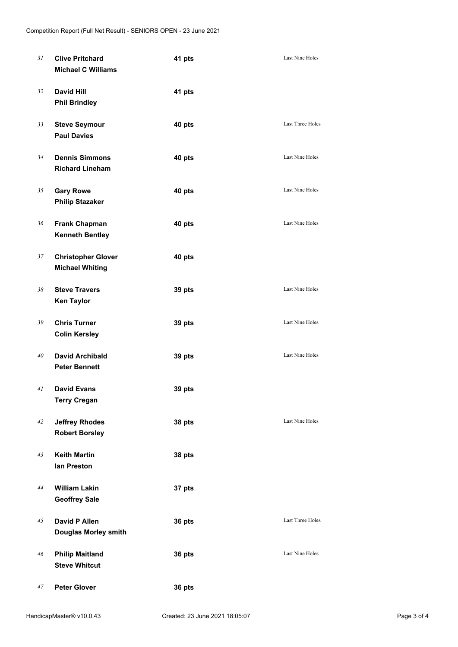| 31 | <b>Clive Pritchard</b><br><b>Michael C Williams</b> | 41 pts | <b>Last Nine Holes</b>  |
|----|-----------------------------------------------------|--------|-------------------------|
| 32 | <b>David Hill</b><br><b>Phil Brindley</b>           | 41 pts |                         |
| 33 | <b>Steve Seymour</b><br><b>Paul Davies</b>          | 40 pts | Last Three Holes        |
| 34 | <b>Dennis Simmons</b><br><b>Richard Lineham</b>     | 40 pts | Last Nine Holes         |
| 35 | <b>Gary Rowe</b><br><b>Philip Stazaker</b>          | 40 pts | Last Nine Holes         |
| 36 | <b>Frank Chapman</b><br><b>Kenneth Bentley</b>      | 40 pts | Last Nine Holes         |
| 37 | <b>Christopher Glover</b><br><b>Michael Whiting</b> | 40 pts |                         |
| 38 | <b>Steve Travers</b><br><b>Ken Taylor</b>           | 39 pts | Last Nine Holes         |
| 39 | <b>Chris Turner</b><br><b>Colin Kersley</b>         | 39 pts | Last Nine Holes         |
| 40 | <b>David Archibald</b><br><b>Peter Bennett</b>      | 39 pts | <b>Last Nine Holes</b>  |
| 41 | <b>David Evans</b><br><b>Terry Cregan</b>           | 39 pts |                         |
| 42 | <b>Jeffrey Rhodes</b><br><b>Robert Borsley</b>      | 38 pts | Last Nine Holes         |
| 43 | <b>Keith Martin</b><br>lan Preston                  | 38 pts |                         |
| 44 | <b>William Lakin</b><br><b>Geoffrey Sale</b>        | 37 pts |                         |
| 45 | David P Allen<br><b>Douglas Morley smith</b>        | 36 pts | <b>Last Three Holes</b> |
| 46 | <b>Philip Maitland</b><br><b>Steve Whitcut</b>      | 36 pts | <b>Last Nine Holes</b>  |
| 47 | <b>Peter Glover</b>                                 | 36 pts |                         |